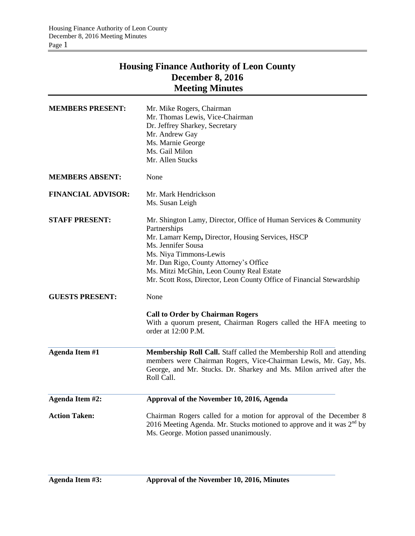## **Housing Finance Authority of Leon County December 8, 2016 Meeting Minutes**

| <b>MEMBERS PRESENT:</b>   | Mr. Mike Rogers, Chairman<br>Mr. Thomas Lewis, Vice-Chairman<br>Dr. Jeffrey Sharkey, Secretary<br>Mr. Andrew Gay<br>Ms. Marnie George<br>Ms. Gail Milon<br>Mr. Allen Stucks                                                                                                                                                                            |
|---------------------------|--------------------------------------------------------------------------------------------------------------------------------------------------------------------------------------------------------------------------------------------------------------------------------------------------------------------------------------------------------|
| <b>MEMBERS ABSENT:</b>    | None                                                                                                                                                                                                                                                                                                                                                   |
| <b>FINANCIAL ADVISOR:</b> | Mr. Mark Hendrickson<br>Ms. Susan Leigh                                                                                                                                                                                                                                                                                                                |
| <b>STAFF PRESENT:</b>     | Mr. Shington Lamy, Director, Office of Human Services & Community<br>Partnerships<br>Mr. Lamarr Kemp, Director, Housing Services, HSCP<br>Ms. Jennifer Sousa<br>Ms. Niya Timmons-Lewis<br>Mr. Dan Rigo, County Attorney's Office<br>Ms. Mitzi McGhin, Leon County Real Estate<br>Mr. Scott Ross, Director, Leon County Office of Financial Stewardship |
| <b>GUESTS PRESENT:</b>    | None<br><b>Call to Order by Chairman Rogers</b><br>With a quorum present, Chairman Rogers called the HFA meeting to<br>order at 12:00 P.M.                                                                                                                                                                                                             |
| <b>Agenda Item #1</b>     | Membership Roll Call. Staff called the Membership Roll and attending<br>members were Chairman Rogers, Vice-Chairman Lewis, Mr. Gay, Ms.<br>George, and Mr. Stucks. Dr. Sharkey and Ms. Milon arrived after the<br>Roll Call.                                                                                                                           |
| Agenda Item #2:           | Approval of the November 10, 2016, Agenda                                                                                                                                                                                                                                                                                                              |
| <b>Action Taken:</b>      | Chairman Rogers called for a motion for approval of the December 8<br>2016 Meeting Agenda. Mr. Stucks motioned to approve and it was $2^{nd}$ by<br>Ms. George. Motion passed unanimously.                                                                                                                                                             |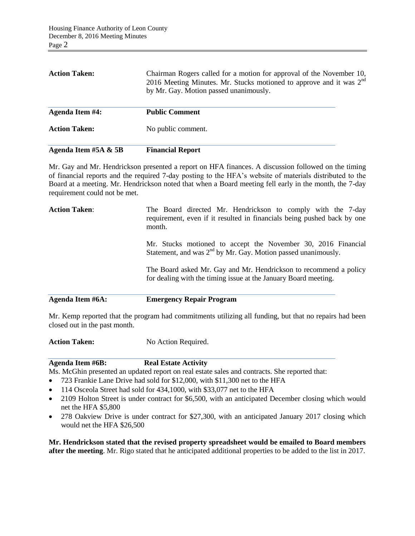| Agenda Item #5A & 5B   | <b>Financial Report</b>                                                                                                                                                                           |
|------------------------|---------------------------------------------------------------------------------------------------------------------------------------------------------------------------------------------------|
| <b>Action Taken:</b>   | No public comment.                                                                                                                                                                                |
| <b>Agenda Item #4:</b> | <b>Public Comment</b>                                                                                                                                                                             |
| <b>Action Taken:</b>   | Chairman Rogers called for a motion for approval of the November 10,<br>2016 Meeting Minutes. Mr. Stucks motioned to approve and it was 2 <sup>nd</sup><br>by Mr. Gay. Motion passed unanimously. |

Mr. Gay and Mr. Hendrickson presented a report on HFA finances. A discussion followed on the timing of financial reports and the required 7-day posting to the HFA's website of materials distributed to the Board at a meeting. Mr. Hendrickson noted that when a Board meeting fell early in the month, the 7-day requirement could not be met.

| Agenda Item #6A:     | <b>Emergency Repair Program</b>                                                                                                                  |  |  |
|----------------------|--------------------------------------------------------------------------------------------------------------------------------------------------|--|--|
|                      | The Board asked Mr. Gay and Mr. Hendrickson to recommend a policy<br>for dealing with the timing issue at the January Board meeting.             |  |  |
|                      | Mr. Stucks motioned to accept the November 30, 2016 Financial<br>Statement, and was $2nd$ by Mr. Gay. Motion passed unanimously.                 |  |  |
| <b>Action Taken:</b> | The Board directed Mr. Hendrickson to comply with the 7-day<br>requirement, even if it resulted in financials being pushed back by one<br>month. |  |  |

Mr. Kemp reported that the program had commitments utilizing all funding, but that no repairs had been closed out in the past month.

Action Taken: No Action Required.

**Agenda Item #6B: Real Estate Activity**

Ms. McGhin presented an updated report on real estate sales and contracts. She reported that:

- 723 Frankie Lane Drive had sold for \$12,000, with \$11,300 net to the HFA
- 114 Osceola Street had sold for 434,1000, with \$33,077 net to the HFA
- 2109 Holton Street is under contract for \$6,500, with an anticipated December closing which would net the HFA \$5,800
- 278 Oakview Drive is under contract for \$27,300, with an anticipated January 2017 closing which would net the HFA \$26,500

**Mr. Hendrickson stated that the revised property spreadsheet would be emailed to Board members after the meeting**. Mr. Rigo stated that he anticipated additional properties to be added to the list in 2017.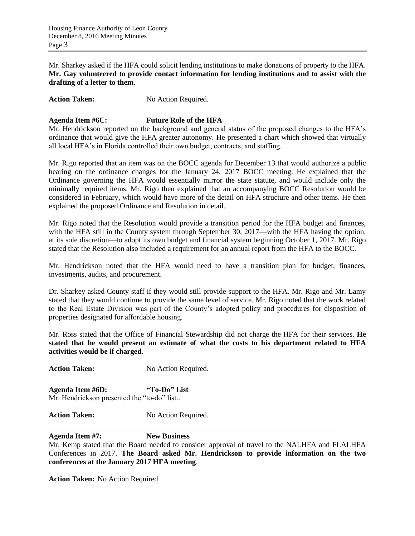Mr. Sharkey asked if the HFA could solicit lending institutions to make donations of property to the HFA. **Mr. Gay volunteered to provide contact information for lending institutions and to assist with the drafting of a letter to them**.

Action Taken: No Action Required.

## **Agenda Item #6C: Future Role of the HFA**

Mr. Hendrickson reported on the background and general status of the proposed changes to the HFA's ordinance that would give the HFA greater autonomy. He presented a chart which showed that virtually all local HFA's in Florida controlled their own budget, contracts, and staffing.

Mr. Rigo reported that an item was on the BOCC agenda for December 13 that would authorize a public hearing on the ordinance changes for the January 24, 2017 BOCC meeting. He explained that the Ordinance governing the HFA would essentially mirror the state statute, and would include only the minimally required items. Mr. Rigo then explained that an accompanying BOCC Resolution would be considered in February, which would have more of the detail on HFA structure and other items. He then explained the proposed Ordinance and Resolution in detail.

Mr. Rigo noted that the Resolution would provide a transition period for the HFA budget and finances, with the HFA still in the County system through September 30, 2017—with the HFA having the option, at its sole discretion—to adopt its own budget and financial system beginning October 1, 2017. Mr. Rigo stated that the Resolution also included a requirement for an annual report from the HFA to the BOCC.

Mr. Hendrickson noted that the HFA would need to have a transition plan for budget, finances, investments, audits, and procurement.

Dr. Sharkey asked County staff if they would still provide support to the HFA. Mr. Rigo and Mr. Lamy stated that they would continue to provide the same level of service. Mr. Rigo noted that the work related to the Real Estate Division was part of the County's adopted policy and procedures for disposition of properties designated for affordable housing.

Mr. Ross stated that the Office of Financial Stewardship did not charge the HFA for their services. **He stated that he would present an estimate of what the costs to his department related to HFA activities would be if charged**.

Action Taken: No Action Required.

**Agenda Item #6D: "To-Do" List** Mr. Hendrickson presented the "to-do" list..

Action Taken: No Action Required.

**Agenda Item #7: New Business**

Mr. Kemp stated that the Board needed to consider approval of travel to the NALHFA and FLALHFA Conferences in 2017. **The Board asked Mr. Hendrickson to provide information on the two conferences at the January 2017 HFA meeting**.

**Action Taken:** No Action Required